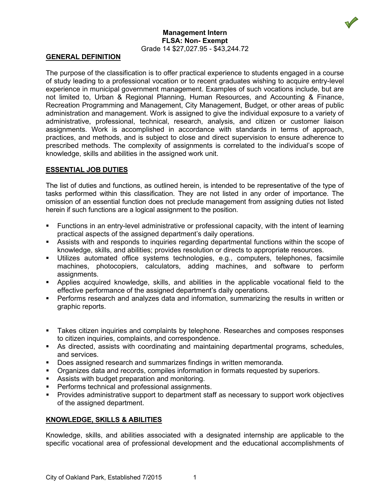

#### **Management Intern FLSA: Non- Exempt** Grade 14 \$27,027.95 - \$43,244.72

#### **GENERAL DEFINITION**

The purpose of the classification is to offer practical experience to students engaged in a course of study leading to a professional vocation or to recent graduates wishing to acquire entry-level experience in municipal government management. Examples of such vocations include, but are not limited to, Urban & Regional Planning, Human Resources, and Accounting & Finance, Recreation Programming and Management, City Management, Budget, or other areas of public administration and management. Work is assigned to give the individual exposure to a variety of administrative, professional, technical, research, analysis, and citizen or customer liaison assignments. Work is accomplished in accordance with standards in terms of approach, practices, and methods, and is subject to close and direct supervision to ensure adherence to prescribed methods. The complexity of assignments is correlated to the individual's scope of knowledge, skills and abilities in the assigned work unit.

## **ESSENTIAL JOB DUTIES**

The list of duties and functions, as outlined herein, is intended to be representative of the type of tasks performed within this classification. They are not listed in any order of importance. The omission of an essential function does not preclude management from assigning duties not listed herein if such functions are a logical assignment to the position.

- Functions in an entry-level administrative or professional capacity, with the intent of learning practical aspects of the assigned department's daily operations.
- Assists with and responds to inquiries regarding departmental functions within the scope of knowledge, skills, and abilities; provides resolution or directs to appropriate resources.
- Utilizes automated office systems technologies, e.g., computers, telephones, facsimile machines, photocopiers, calculators, adding machines, and software to perform assignments.
- Applies acquired knowledge, skills, and abilities in the applicable vocational field to the effective performance of the assigned department's daily operations.
- Performs research and analyzes data and information, summarizing the results in written or graphic reports.
- Takes citizen inquiries and complaints by telephone. Researches and composes responses to citizen inquiries, complaints, and correspondence.
- As directed, assists with coordinating and maintaining departmental programs, schedules, and services.
- Does assigned research and summarizes findings in written memoranda.
- Organizes data and records, compiles information in formats requested by superiors.
- **Assists with budget preparation and monitoring.**
- Performs technical and professional assignments.
- Provides administrative support to department staff as necessary to support work objectives of the assigned department.

## **KNOWLEDGE, SKILLS & ABILITIES**

Knowledge, skills, and abilities associated with a designated internship are applicable to the specific vocational area of professional development and the educational accomplishments of